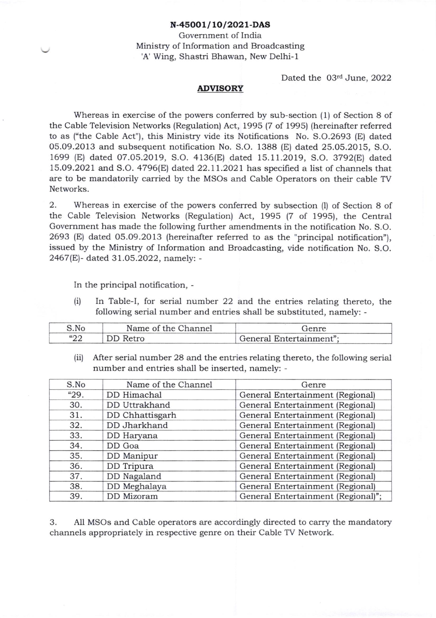## N-45OO1/ 1O/2O21-DAS

Government of India Ministry of Information and Broadcasting 'A' Wing, Shastri Bhawan, New Delhi-1

Dated the 03rd June, 2022

## ADVISORY

Whereas in exercise of the powers conferred by sub-section (1) of Section 8 of the Cable Television Networks (Regulation) Act, 1995 (7 of 1995) (hereinafter referred to as ("the Cable Act"), this Ministry vide its Notifications No. 5.0.2693 (E) dated 05.09.2013 and subsequent notification No. S.O. 1388 (E) dated 25.05.2015, S.O. 1699 (E) dated O7.05.2019, S.O.4136(E) dated 15.11.2019, S.O.3792(E) dated 15.09.2021 and S.O. 4796(El dated 22.11.2021 has specified a list of channels that are to be mandatorily carried by the MSOs and Cable Operators on their cable TV Networks.

2. Whereas in exercise of the powers conferred by subsection (l) of Section 8 of the Cable Television Networks (Regulation) Act, 1995 (7 of 1995), the Central Government has made the following further amendments in the notification No. S.O. 2693 (El dated O5.O9.2013 (hereinafter referred to as the "principal notification"), issued by the Ministry of Information and Broadcasting, vide notification No. S.O. 2467(E)- dated 31.05.2022, namely: -

In the principal notification, -

(i) In Table-I, for serial number 22 and. the entries relating thereto, the following serial number and entries shall be substituted, namely: -

| S.No      | Name of the Channel | fenre                   |  |
|-----------|---------------------|-------------------------|--|
| 500<br>∠∠ | DD Retro            | General Entertainment": |  |

(ii) After serial number 28 and the entries relating thereto, the following serial number and entries shall be inserted, namely: -

| S.No | Name of the Channel | Genre                              |
|------|---------------------|------------------------------------|
| "29. | DD Himachal         | General Entertainment (Regional)   |
| 30.  | DD Uttrakhand       | General Entertainment (Regional)   |
| 31.  | DD Chhattisgarh     | General Entertainment (Regional)   |
| 32.  | DD Jharkhand        | General Entertainment (Regional)   |
| 33.  | DD Haryana          | General Entertainment (Regional)   |
| 34.  | DD Goa              | General Entertainment (Regional)   |
| 35.  | DD Manipur          | General Entertainment (Regional)   |
| 36.  | DD Tripura          | General Entertainment (Regional)   |
| 37.  | DD Nagaland         | General Entertainment (Regional)   |
| 38.  | DD Meghalaya        | General Entertainment (Regional)   |
| 39.  | DD Mizoram          | General Entertainment (Regional)"; |

3. All MSOs and Cable operators are accordingly directed to carry the mandatory channels appropriately in respective genre on their Cable TV Network.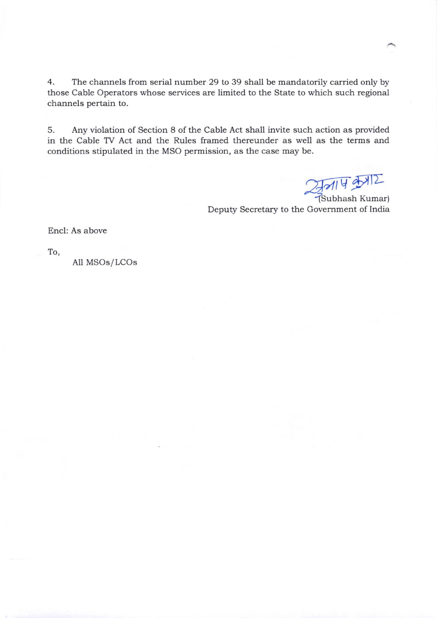4. The chaanels from serial number 29 to 39 shall be mandatorily carried only by those Cable Operators whose services are limited to the State to which such regional channels pertain to.

5. Any violation of Section 8 of the Cable Act shall invite such action as provided in the Cable TV Act and the Rules framed thereunder as well as the terms and conditions stipulated in the MSO permission, as the case may be.

 $\frac{2}{\sqrt{314}}$ 

Deputy Secretary to the Govemment of India

Encl: As above

To,

All MSOs/LCOs